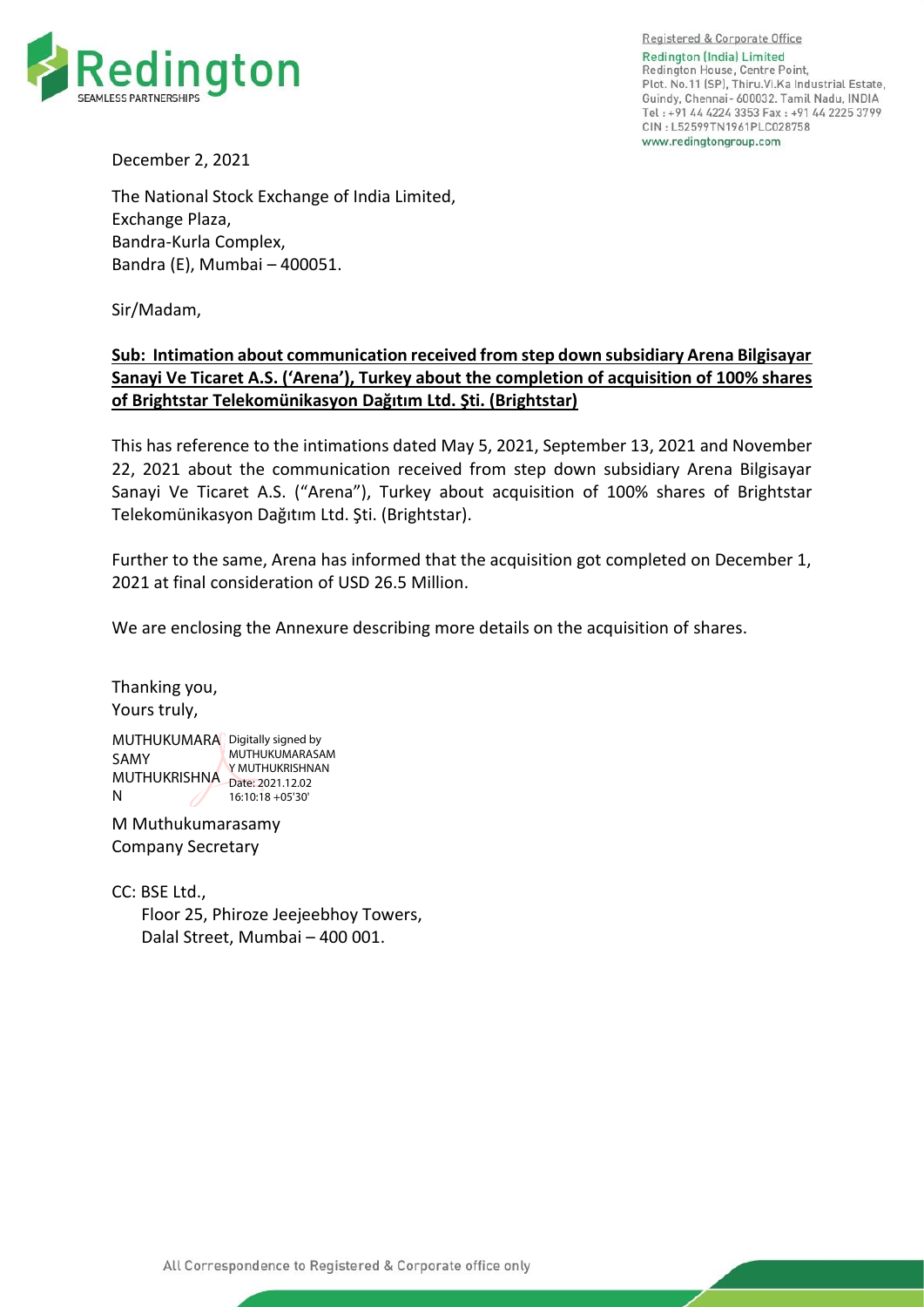

Registered & Corporate Office Redington (India) Limited Redington House, Centre Point, Plot. No.11 (SP), Thiru. Vi. Ka Industrial Estate, Guindy, Chennai- 600032, Tamil Nadu, INDIA Tel: +91 44 4224 3353 Fax: +91 44 2225 3799 CIN: L52599TN1961PLC028758 www.redingtongroup.com

December 2, 2021

The National Stock Exchange of India Limited, Exchange Plaza, Bandra-Kurla Complex, Bandra (E), Mumbai – 400051.

Sir/Madam,

## **Sub: Intimation about communication received from step down subsidiary Arena Bilgisayar Sanayi Ve Ticaret A.S. ('Arena'), Turkey about the completion of acquisition of 100% shares of Brightstar Telekomünikasyon Dağıtım Ltd. Şti. (Brightstar)**

This has reference to the intimations dated May 5, 2021, September 13, 2021 and November 22, 2021 about the communication received from step down subsidiary Arena Bilgisayar Sanayi Ve Ticaret A.S. ("Arena"), Turkey about acquisition of 100% shares of Brightstar Telekomünikasyon Dağıtım Ltd. Şti. (Brightstar).

Further to the same, Arena has informed that the acquisition got completed on December 1, 2021 at final consideration of USD 26.5 Million.

We are enclosing the Annexure describing more details on the acquisition of shares.

Thanking you, Yours truly,

MUTHUKUMARA Digitally signed by SAMY MUTHUKRISHNA Date: 2021.12.02 N MUTHUKUMARASAM Y MUTHUKRISHNAN 16:10:18 +05'30'

M Muthukumarasamy Company Secretary

CC: BSE Ltd., Floor 25, Phiroze Jeejeebhoy Towers, Dalal Street, Mumbai – 400 001.